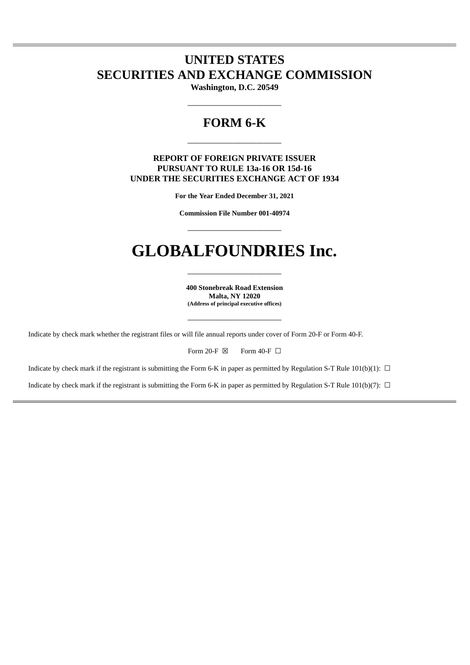# **UNITED STATES SECURITIES AND EXCHANGE COMMISSION**

**Washington, D.C. 20549**  $\overline{\phantom{a}}$  , we can also the contract of  $\overline{\phantom{a}}$ 

# **FORM 6-K**

\_\_\_\_\_\_\_\_\_\_\_\_\_\_\_\_\_\_\_\_\_\_

# **REPORT OF FOREIGN PRIVATE ISSUER PURSUANT TO RULE 13a-16 OR 15d-16 UNDER THE SECURITIES EXCHANGE ACT OF 1934**

**For the Year Ended December 31, 2021**

**Commission File Number 001-40974**  $\overline{\phantom{a}}$  , we can also the contract of  $\overline{\phantom{a}}$ 

# **GLOBALFOUNDRIES Inc.**

 $\overline{\phantom{a}}$  , we can also the contract of  $\overline{\phantom{a}}$ 

**400 Stonebreak Road Extension Malta, NY 12020 (Address of principal executive offices)**

\_\_\_\_\_\_\_\_\_\_\_\_\_\_\_\_\_\_\_\_\_\_

Indicate by check mark whether the registrant files or will file annual reports under cover of Form 20-F or Form 40-F.

Indicate by check mark if the registrant is submitting the Form 6-K in paper as permitted by Regulation S-T Rule 101(b)(1):  $\Box$ 

Indicate by check mark if the registrant is submitting the Form 6-K in paper as permitted by Regulation S-T Rule 101(b)(7):  $\Box$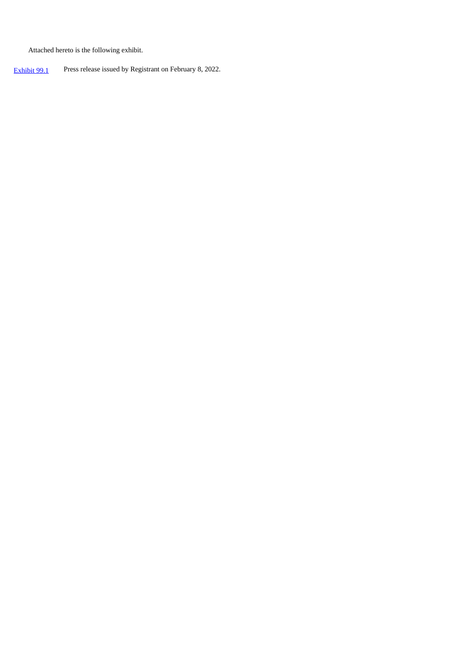Attached hereto is the following exhibit.

[Exhibit](#page-3-0) 99.1 Press release issued by [Registrant](https://www.sec.gov/Archives/edgar/data/1709048/000119312521343710/d173703dex991.htm) on [February](https://www.sec.gov/Archives/edgar/data/1709048/000119312521343710/d173703dex991.htm) 8, 2022[.](https://www.sec.gov/Archives/edgar/data/1709048/000119312521343710/d173703dex991.htm)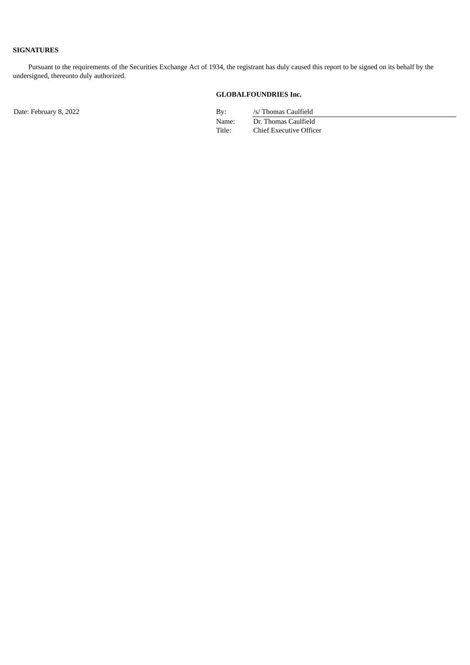# **SIGNATURES**

Pursuant to the requirements of the Securities Exchange Act of 1934, the registrant has duly caused this report to be signed on its behalf by the undersigned, thereunto duly authorized.

## **GLOBALFOUNDRIES Inc.**

Date: February 8, 2022 By: /s/ Thomas Caulfield

Name: Dr. Thomas Caulfield Title: Chief Executive Officer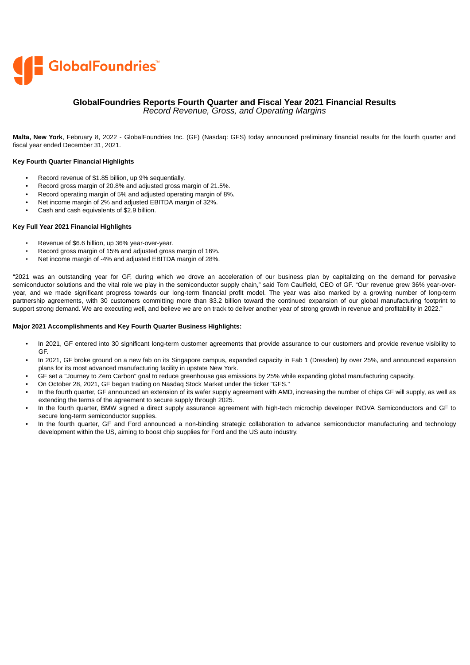<span id="page-3-0"></span>

# **GlobalFoundries Reports Fourth Quarter and Fiscal Year 2021 Financial Results**

*Record Revenue, Gross, and Operating Margins*

**Malta, New York**, February 8, 2022 - GlobalFoundries Inc. (GF) (Nasdaq: GFS) today announced preliminary financial results for the fourth quarter and fiscal year ended December 31, 2021.

#### **Key Fourth Quarter Financial Highlights**

- Record revenue of \$1.85 billion, up 9% sequentially.
- Record gross margin of 20.8% and adjusted gross margin of 21.5%.
- Record operating margin of 5% and adjusted operating margin of 8%.
- Net income margin of 2% and adjusted EBITDA margin of 32%.
- Cash and cash equivalents of \$2.9 billion.

#### **Key Full Year 2021 Financial Highlights**

- Revenue of \$6.6 billion, up 36% year-over-year.
- Record gross margin of 15% and adjusted gross margin of 16%.
- Net income margin of -4% and adjusted EBITDA margin of 28%.

"2021 was an outstanding year for GF, during which we drove an acceleration of our business plan by capitalizing on the demand for pervasive semiconductor solutions and the vital role we play in the semiconductor supply chain," said Tom Caulfield, CEO of GF. "Our revenue grew 36% year-overyear, and we made significant progress towards our long-term financial profit model. The year was also marked by a growing number of long-term partnership agreements, with 30 customers committing more than \$3.2 billion toward the continued expansion of our global manufacturing footprint to support strong demand. We are executing well, and believe we are on track to deliver another year of strong growth in revenue and profitability in 2022."

#### **Major 2021 Accomplishments and Key Fourth Quarter Business Highlights:**

- In 2021, GF entered into 30 significant long-term customer agreements that provide assurance to our customers and provide revenue visibility to GF.
- In 2021, GF broke ground on a new fab on its Singapore campus, expanded capacity in Fab 1 (Dresden) by over 25%, and announced expansion plans for its most advanced manufacturing facility in upstate New York.
- GF set a "Journey to Zero Carbon" goal to reduce greenhouse gas emissions by 25% while expanding global manufacturing capacity.
- On October 28, 2021, GF began trading on Nasdaq Stock Market under the ticker "GFS." • In the fourth quarter, GF announced an extension of its wafer supply agreement with AMD, increasing the number of chips GF will supply, as well as extending the terms of the agreement to secure supply through 2025.
- In the fourth quarter, BMW signed a direct supply assurance agreement with high-tech microchip developer INOVA Semiconductors and GF to secure long-term semiconductor supplies.
- In the fourth quarter, GF and Ford announced a non-binding strategic collaboration to advance semiconductor manufacturing and technology development within the US, aiming to boost chip supplies for Ford and the US auto industry.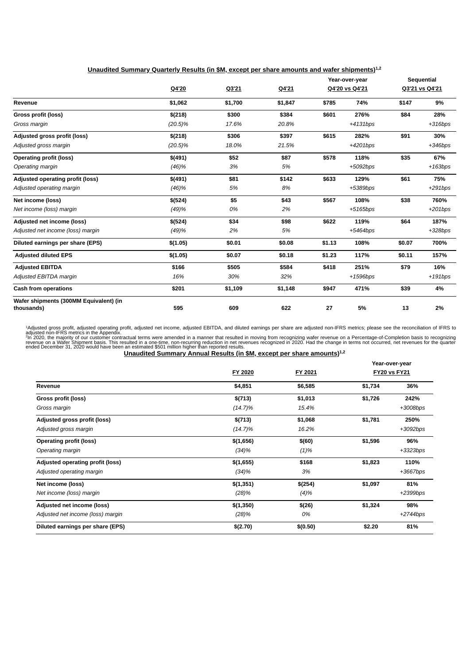|                                                      |            |         |         | Year-over-year |                | Sequential     |            |
|------------------------------------------------------|------------|---------|---------|----------------|----------------|----------------|------------|
|                                                      | Q4'20      | Q3'21   | Q4'21   |                | Q4'20 vs Q4'21 | Q3'21 vs Q4'21 |            |
| Revenue                                              | \$1,062    | \$1,700 | \$1,847 | \$785          | 74%            | \$147          | 9%         |
| Gross profit (loss)                                  | \$(218)    | \$300   | \$384   | \$601          | 276%           | \$84           | 28%        |
| Gross margin                                         | $(20.5)\%$ | 17.6%   | 20.8%   |                | $+4131bps$     |                | $+316bps$  |
| Adjusted gross profit (loss)                         | \$(218)    | \$306   | \$397   | \$615          | 282%           | \$91           | 30%        |
| Adjusted gross margin                                | (20.5)%    | 18.0%   | 21.5%   |                | +4201bps       |                | $+346bps$  |
| <b>Operating profit (loss)</b>                       | \$(491)    | \$52    | \$87    | \$578          | 118%           | \$35           | 67%        |
| Operating margin                                     | (46)%      | 3%      | 5%      |                | +5092bps       |                | $+163bps$  |
| Adjusted operating profit (loss)                     | \$(491)    | \$81    | \$142   | \$633          | 129%           | \$61           | 75%        |
| Adjusted operating margin                            | (46)%      | 5%      | 8%      |                | +5389bps       |                | $+291bps$  |
| Net income (loss)                                    | \$(524)    | \$5     | \$43    | \$567          | 108%           | \$38           | 760%       |
| Net income (loss) margin                             | (49)%      | 0%      | 2%      |                | $+5165bps$     |                | $+201bps$  |
| <b>Adjusted net income (loss)</b>                    | \$(524)    | \$34    | \$98    | \$622          | 119%           | \$64           | 187%       |
| Adjusted net income (loss) margin                    | (49)%      | 2%      | 5%      |                | $+5464bps$     |                | $+328bps$  |
| Diluted earnings per share (EPS)                     | \$(1.05)   | \$0.01  | \$0.08  | \$1.13         | 108%           | \$0.07         | 700%       |
| <b>Adjusted diluted EPS</b>                          | \$(1.05)   | \$0.07  | \$0.18  | \$1.23         | 117%           | \$0.11         | 157%       |
| <b>Adjusted EBITDA</b>                               | \$166      | \$505   | \$584   | \$418          | 251%           | \$79           | 16%        |
| Adjusted EBITDA margin                               | 16%        | 30%     | 32%     |                | $+1596bps$     |                | $+191$ bps |
| <b>Cash from operations</b>                          | \$201      | \$1,109 | \$1,148 | \$947          | 471%           | \$39           | 4%         |
| Wafer shipments (300MM Equivalent) (in<br>thousands) | 595        | 609     | 622     | 27             | 5%             | 13             | 2%         |

**Unaudited Summary Quarterly Results (in \$M, except per share amounts and wafer shipments) 1,2**

<sup>1</sup>Adjusted gross profit, adjusted operating profit, adjusted net income, adjusted EBITDA, and diluted earnings per share are adjusted onn-IFRS metrics; please see the reconciliation of IFRS to<br>adjusted non-IFRS metrics in 1 2

| <u>Unaudited Summary Annual Results (in \$M, except per share amounts)<sup>1,2</sup></u> |
|------------------------------------------------------------------------------------------|
|------------------------------------------------------------------------------------------|

|                                   |            |          | Year-over-year |                     |  |
|-----------------------------------|------------|----------|----------------|---------------------|--|
|                                   | FY 2020    | FY 2021  |                | <b>FY20 vs FY21</b> |  |
| Revenue                           | \$4,851    | \$6,585  | \$1,734        | 36%                 |  |
| Gross profit (loss)               | \$(713)    | \$1,013  | \$1,726        | 242%                |  |
| Gross margin                      | $(14.7)\%$ | 15.4%    |                | +3008bps            |  |
| Adjusted gross profit (loss)      | \$(713)    | \$1,068  | \$1,781        | 250%                |  |
| Adjusted gross margin             | $(14.7)\%$ | 16.2%    |                | $+3092bps$          |  |
| <b>Operating profit (loss)</b>    | \$(1,656)  | \$(60)   | \$1,596        | 96%                 |  |
| Operating margin                  | (34)%      | (1)%     |                | $+3323bps$          |  |
| Adjusted operating profit (loss)  | \$(1,655)  | \$168    | \$1,823        | 110%                |  |
| Adjusted operating margin         | (34)%      | 3%       |                | $+3667bps$          |  |
| Net income (loss)                 | \$(1,351)  | \$(254)  | \$1,097        | 81%                 |  |
| Net income (loss) margin          | (28)%      | (4)%     |                | $+2399bps$          |  |
| Adjusted net income (loss)        | \$(1,350)  | \$(26)   | \$1,324        | 98%                 |  |
| Adjusted net income (loss) margin | (28)%      | 0%       |                | $+2744bps$          |  |
| Diluted earnings per share (EPS)  | \$(2.70)   | \$(0.50) | \$2.20         | 81%                 |  |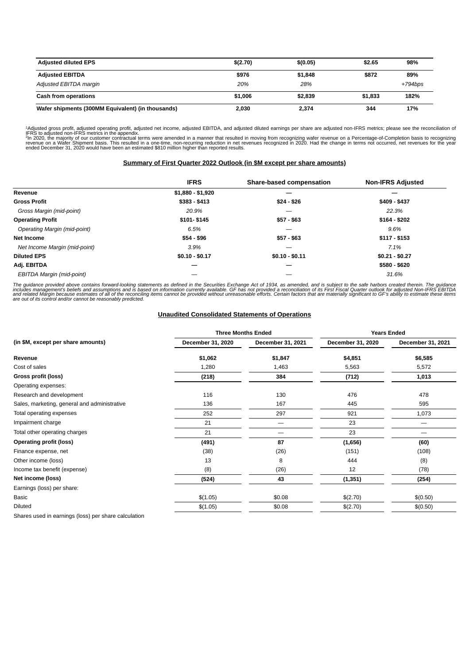| <b>Adjusted diluted EPS</b>                       | \$(2.70) | \$(0.05) | \$2.65  | 98%        |
|---------------------------------------------------|----------|----------|---------|------------|
| <b>Adjusted EBITDA</b>                            | \$976    | \$1,848  | \$872   | 89%        |
| Adjusted EBITDA margin                            | 20%      | 28%      |         | $+794$ bps |
| Cash from operations                              | \$1,006  | \$2,839  | \$1,833 | 182%       |
| Wafer shipments (300MM Equivalent) (in thousands) | 2,030    | 2,374    | 344     | 17%        |

1-Adjusted gross profit, adjusted operating profit, adjusted net income, adjusted EBITDA, and adjusted diluted earnings per share are adjusted non-IFRS metrics; please see the reconciliation of<br>"IFRS to adjusted non-IFRS m 1 2

# **Summary of First Quarter 2022 Outlook (in \$M except per share amounts)**

|                                     | <b>IFRS</b>       | Share-based compensation | <b>Non-IFRS Adjusted</b> |
|-------------------------------------|-------------------|--------------------------|--------------------------|
| Revenue                             | $$1,880 - $1,920$ |                          |                          |
| <b>Gross Profit</b>                 | \$383 - \$413     | $$24 - $26$              | \$409 - \$437            |
| Gross Margin (mid-point)            | 20.9%             |                          | 22.3%                    |
| <b>Operating Profit</b>             | \$101-\$145       | $$57 - $63$              | $$164 - $202$            |
| <b>Operating Margin (mid-point)</b> | 6.5%              | –                        | 9.6%                     |
| Net Income                          | $$54 - $96$       | $$57 - $63$              | $$117 - $153$            |
| Net Income Margin (mid-point)       | 3.9%              | –                        | 7.1%                     |
| <b>Diluted EPS</b>                  | $$0.10 - $0.17$   | $$0.10 - $0.11$          | $$0.21 - $0.27$          |
| Adj. EBITDA                         |                   |                          | \$580 - \$620            |
| EBITDA Margin (mid-point)           |                   |                          | 31.6%                    |

The guidance provided above contains forward-looking statements as defined in the Securities Exchange Act of 1934, as amended, and is subject to the safe harbors created therein. The guidance<br>includes management's beliefs

#### **Unaudited Consolidated Statements of Operations**

|                                                      |                   | <b>Three Months Ended</b> | <b>Years Ended</b> |                   |  |
|------------------------------------------------------|-------------------|---------------------------|--------------------|-------------------|--|
| (in \$M, except per share amounts)                   | December 31, 2020 | December 31, 2021         | December 31, 2020  | December 31, 2021 |  |
| Revenue                                              | \$1,062           | \$1,847                   | \$4,851            | \$6,585           |  |
| Cost of sales                                        | 1,280             | 1,463                     | 5,563              | 5,572             |  |
| Gross profit (loss)                                  | (218)             | 384                       | (712)              | 1,013             |  |
| Operating expenses:                                  |                   |                           |                    |                   |  |
| Research and development                             | 116               | 130                       | 476                | 478               |  |
| Sales, marketing, general and administrative         | 136               | 167                       | 445                | 595               |  |
| Total operating expenses                             | 252               | 297                       | 921                | 1,073             |  |
| Impairment charge                                    | 21                |                           | 23                 |                   |  |
| Total other operating charges                        | 21                |                           | 23                 |                   |  |
| <b>Operating profit (loss)</b>                       | (491)             | 87                        | (1,656)            | (60)              |  |
| Finance expense, net                                 | (38)              | (26)                      | (151)              | (108)             |  |
| Other income (loss)                                  | 13                | 8                         | 444                | (8)               |  |
| Income tax benefit (expense)                         | (8)               | (26)                      | 12                 | (78)              |  |
| Net income (loss)                                    | (524)             | 43                        | (1, 351)           | (254)             |  |
| Earnings (loss) per share:                           |                   |                           |                    |                   |  |
| Basic                                                | \$(1.05)          | \$0.08                    | \$(2.70)           | \$(0.50)          |  |
| Diluted                                              | \$(1.05)          | \$0.08                    | \$(2.70)           | \$(0.50)          |  |
| Sharos used in oarnings (loss) nor sharo calculation |                   |                           |                    |                   |  |

Shares used in earnings (loss) per share calculation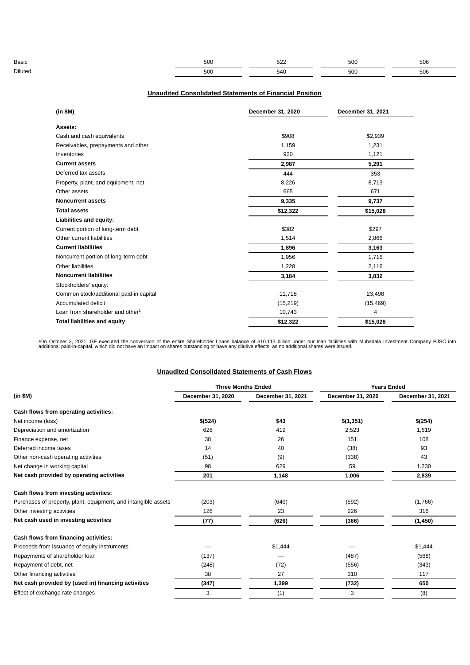| <b>Basic</b>   | $\Gamma$<br>ou      | $\sim$ | F''<br>$\cdot$ | $\Gamma \cap C$<br>w                     |
|----------------|---------------------|--------|----------------|------------------------------------------|
| <b>Diluted</b> | $E^{\Lambda}$<br>ou | 540    | 50             | $\Gamma$ <sup><math>\Lambda</math></sup> |

## **Unaudited Consolidated Statements of Financial Position**

| (in \$M)                                | December 31, 2020 | December 31, 2021 |
|-----------------------------------------|-------------------|-------------------|
| Assets:                                 |                   |                   |
| Cash and cash equivalents               | \$908             | \$2,939           |
| Receivables, prepayments and other      | 1,159             | 1,231             |
| Inventories                             | 920               | 1,121             |
| <b>Current assets</b>                   | 2,987             | 5,291             |
| Deferred tax assets                     | 444               | 353               |
| Property, plant, and equipment, net     | 8,226             | 8,713             |
| Other assets                            | 665               | 671               |
| <b>Noncurrent assets</b>                | 9,335             | 9,737             |
| <b>Total assets</b>                     | \$12,322          | \$15,028          |
| Liabilities and equity:                 |                   |                   |
| Current portion of long-term debt       | \$382             | \$297             |
| Other current liabilities               | 1,514             | 2,866             |
| <b>Current liabilities</b>              | 1,896             | 3,163             |
| Noncurrent portion of long-term debt    | 1,956             | 1,716             |
| Other liabilities                       | 1,228             | 2,116             |
| <b>Noncurrent liabilities</b>           | 3,184             | 3,832             |
| Stockholders' equity:                   |                   |                   |
| Common stock/additional paid-in capital | 11,718            | 23,498            |
| Accumulated deficit                     | (15, 219)         | (15, 469)         |
| Loan from shareholder and other $1$     | 10,743            | 4                 |
| <b>Total liabilities and equity</b>     | \$12,322          | \$15,028          |

<del>'</del>On October 3, 2021, GF executed the conversion of the entire Shareholder Loans balance of \$10.113 billion under our loan facilities with Mubadala Investment Company PJSC into<br>additional paid-in-capital, which did not ha

### **Unaudited Consolidated Statements of Cash Flows**

|                                                                | <b>Three Months Ended</b> |                   | <b>Years Ended</b> |                   |  |
|----------------------------------------------------------------|---------------------------|-------------------|--------------------|-------------------|--|
| $(in$ \$M $)$                                                  | December 31, 2020         | December 31, 2021 | December 31, 2020  | December 31, 2021 |  |
| Cash flows from operating activities:                          |                           |                   |                    |                   |  |
| Net income (loss)                                              | \$(524)                   | \$43              | \$(1,351)          | \$(254)           |  |
| Depreciation and amortization                                  | 626                       | 419               | 2,523              | 1,619             |  |
| Finance expense, net                                           | 38                        | 26                | 151                | 108               |  |
| Deferred income taxes                                          | 14                        | 40                | (38)               | 93                |  |
| Other non-cash operating activities                            | (51)                      | (9)               | (338)              | 43                |  |
| Net change in working capital                                  | 98                        | 629               | 59                 | 1,230             |  |
| Net cash provided by operating activities                      | 201                       | 1,148             | 1,006              | 2,839             |  |
| Cash flows from investing activities:                          |                           |                   |                    |                   |  |
| Purchases of property, plant, equipment, and intangible assets | (203)                     | (649)             | (592)              | (1,766)           |  |
| Other investing activities                                     | 126                       | 23                | 226                | 316               |  |
| Net cash used in investing activities                          | (77)                      | (626)             | (366)              | (1, 450)          |  |
| Cash flows from financing activities:                          |                           |                   |                    |                   |  |
| Proceeds from issuance of equity instruments                   |                           | \$1,444           |                    | \$1,444           |  |
| Repayments of shareholder loan                                 | (137)                     |                   | (487)              | (568)             |  |
| Repayment of debt, net                                         | (248)                     | (72)              | (556)              | (343)             |  |
| Other financing activities                                     | 38                        | 27                | 310                | 117               |  |
| Net cash provided by (used in) financing activities            | (347)                     | 1,399             | (732)              | 650               |  |
| Effect of exchange rate changes                                | 3                         | (1)               | 3                  | (8)               |  |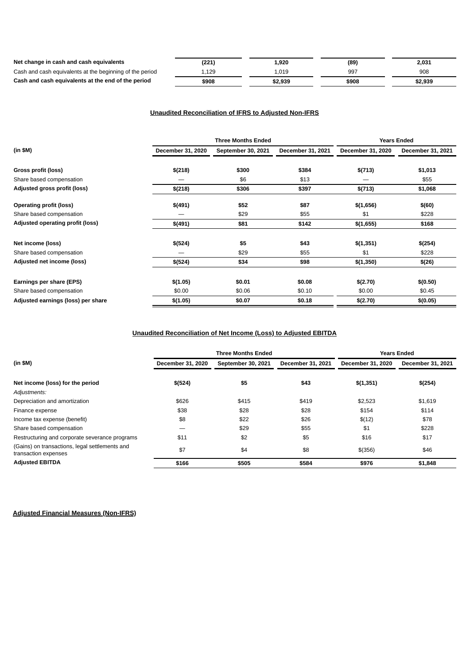| Net change in cash and cash equivalents                  | (221) | 1,920   | (89)  | 2,031   |
|----------------------------------------------------------|-------|---------|-------|---------|
| Cash and cash equivalents at the beginning of the period | 1,129 | 1,019   | 997   | 908     |
| Cash and cash equivalents at the end of the period       | \$908 | \$2.939 | \$908 | \$2,939 |

# **Unaudited Reconciliation of IFRS to Adjusted Non-IFRS**

|                                    | <b>Three Months Ended</b> |                    |                   | <b>Years Ended</b> |                   |  |
|------------------------------------|---------------------------|--------------------|-------------------|--------------------|-------------------|--|
| $(in$ \$M $)$                      | December 31, 2020         | September 30, 2021 | December 31, 2021 | December 31, 2020  | December 31, 2021 |  |
| Gross profit (loss)                | \$(218)                   | \$300              | \$384             | \$(713)            | \$1,013           |  |
| Share based compensation           |                           | \$6                | \$13              |                    | \$55              |  |
| Adjusted gross profit (loss)       | \$(218)                   | \$306              | \$397             | \$(713)            | \$1,068           |  |
| <b>Operating profit (loss)</b>     | \$(491)                   | \$52               | \$87              | \$(1,656)          | \$(60)            |  |
| Share based compensation           |                           | \$29               | \$55              | \$1                | \$228             |  |
| Adjusted operating profit (loss)   | \$(491)                   | \$81               | \$142             | \$(1,655)          | \$168             |  |
| Net income (loss)                  | \$(524)                   | \$5                | \$43              | \$(1,351)          | \$(254)           |  |
| Share based compensation           |                           | \$29               | \$55              | \$1                | \$228             |  |
| Adjusted net income (loss)         | \$(524)                   | \$34               | \$98              | \$(1,350)          | \$(26)            |  |
| Earnings per share (EPS)           | \$(1.05)                  | \$0.01             | \$0.08            | \$(2.70)           | \$(0.50)          |  |
| Share based compensation           | \$0.00                    | \$0.06             | \$0.10            | \$0.00             | \$0.45            |  |
| Adjusted earnings (loss) per share | \$(1.05)                  | \$0.07             | \$0.18            | \$(2.70)           | \$(0.05)          |  |

# **Unaudited Reconciliation of Net Income (Loss) to Adjusted EBITDA**

|                                                                        | <b>Three Months Ended</b> |                    |                   | <b>Years Ended</b> |                   |
|------------------------------------------------------------------------|---------------------------|--------------------|-------------------|--------------------|-------------------|
| (in \$M)                                                               | December 31, 2020         | September 30, 2021 | December 31, 2021 | December 31, 2020  | December 31, 2021 |
| Net income (loss) for the period                                       | \$(524)                   | \$5                | \$43              | \$(1,351)          | \$(254)           |
| Adjustments:                                                           |                           |                    |                   |                    |                   |
| Depreciation and amortization                                          | \$626                     | \$415              | \$419             | \$2,523            | \$1,619           |
| Finance expense                                                        | \$38                      | \$28               | \$28              | \$154              | \$114             |
| Income tax expense (benefit)                                           | \$8                       | \$22               | \$26              | \$(12)             | \$78              |
| Share based compensation                                               |                           | \$29               | \$55              | \$1                | \$228             |
| Restructuring and corporate severance programs                         | \$11                      | \$2                | \$5               | \$16               | \$17              |
| (Gains) on transactions, legal settlements and<br>transaction expenses | \$7                       | \$4                | \$8               | \$(356)            | \$46              |
| <b>Adjusted EBITDA</b>                                                 | \$166                     | \$505              | \$584             | \$976              | \$1,848           |

**Adjusted Financial Measures (Non-IFRS)**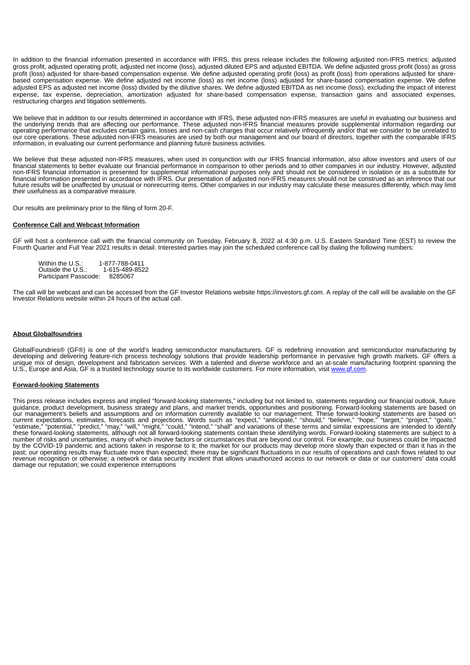In addition to the financial information presented in accordance with IFRS, this press release includes the following adjusted non-IFRS metrics: adjusted gross profit, adjusted operating profit, adjusted net income (loss), adjusted diluted EPS and adjusted EBITDA. We define adjusted gross profit (loss) as gross profit (loss) adjusted for share-based compensation expense. We define adjusted operating profit (loss) as profit (loss) from operations adjusted for sharebased compensation expense. We define adjusted net income (loss) as net income (loss) adjusted for share-based compensation expense. We define adjusted EPS as adjusted net income (loss) divided by the dilutive shares. We define adjusted EBITDA as net income (loss), excluding the impact of interest expense, tax expense, depreciation, amortization adjusted for share-based compensation expense, transaction gains and associated expenses, restructuring charges and litigation settlements.

We believe that in addition to our results determined in accordance with IFRS, these adjusted non-IFRS measures are useful in evaluating our business and the underlying trends that are affecting our performance. These adjusted non-IFRS financial measures provide supplemental information regarding our operating performance that excludes certain gains, losses and non-cash charges that occur relatively infrequently and/or that we consider to be unrelated to our core operations. These adjusted non-IFRS measures are used by both our management and our board of directors, together with the comparable IFRS information, in evaluating our current performance and planning future business activities.

We believe that these adjusted non-IFRS measures, when used in conjunction with our IFRS financial information, also allow investors and users of our financial statements to better evaluate our financial performance in comparison to other periods and to other companies in our industry. However, adjusted non-IFRS financial information is presented for supplemental informational purposes only and should not be considered in isolation or as a substitute for financial information presented in accordance with IFRS. Our presentation of adjusted non-IFRS measures should not be construed as an inference that our future results will be unaffected by unusual or nonrecurring items. Other companies in our industry may calculate these measures differently, which may limit their usefulness as a comparative measure.

Our results are preliminary prior to the filing of form 20-F.

#### **Conference Call and Webcast Information**

GF will host a conference call with the financial community on Tuesday, February 8, 2022 at 4:30 p.m. U.S. Eastern Standard Time (EST) to review the Fourth Quarter and Full Year 2021 results in detail. Interested parties may join the scheduled conference call by dialing the following numbers:

| Within the U.S.:      | 1-877-788-0411 |
|-----------------------|----------------|
| Outside the U.S.:     | 1-615-489-8522 |
| Participant Passcode: | 8285067        |

The call will be webcast and can be accessed from the GF Investor Relations website https://investors.gf.com. A replay of the call will be available on the GF Investor Relations website within 24 hours of the actual call.

#### **About Globalfoundries**

GlobalFoundries® (GF®) is one of the world's leading semiconductor manufacturers. GF is redefining innovation and semiconductor manufacturing by developing and delivering feature-rich process technology solutions that provide leadership performance in pervasive high growth markets. GF offers a unique mix of design, development and fabrication services. With a talented and diverse workforce and an at-scale manufacturing footprint spanning the U.S., Europe and Asia, GF is a trusted technology source to its worldwide customers. For more information, visit www.gf.com.

#### **Forward-looking Statements**

This press release includes express and implied "forward-looking statements," including but not limited to, statements regarding our financial outlook, future guidance, product development, business strategy and plans, and market trends, opportunities and positioning. Forward-looking statements are based on our management's beliefs and assumptions and on information currently available to our management. These forward-looking statements are based on current expectations, estimates, forecasts and projections. Words such as "expect," "anticipate," "should," "believe," "hope," "target," "project," "goals," "estimate," "potential," "predict," "may," "will," "might," "could," "intend," "shall" and variations of these terms and similar expressions are intended to identify these forward-looking statements, although not all forward-looking statements contain these identifying words. Forward-looking statements are subject to a number of risks and uncertainties, many of which involve factors or circumstances that are beyond our control. For example, our business could be impacted number of risks and uncertainties, many of which involve factors or by the COVID-19 pandemic and actions taken in response to it; the market for our products may develop more slowly than expected or than it has in the past; our operating results may fluctuate more than expected; there may be significant fluctuations in our results of operations and cash flows related to our revenue recognition or otherwise; a network or data security incident that allows unauthorized access to our network or data or our customers' data could damage our reputation; we could experience interruptions